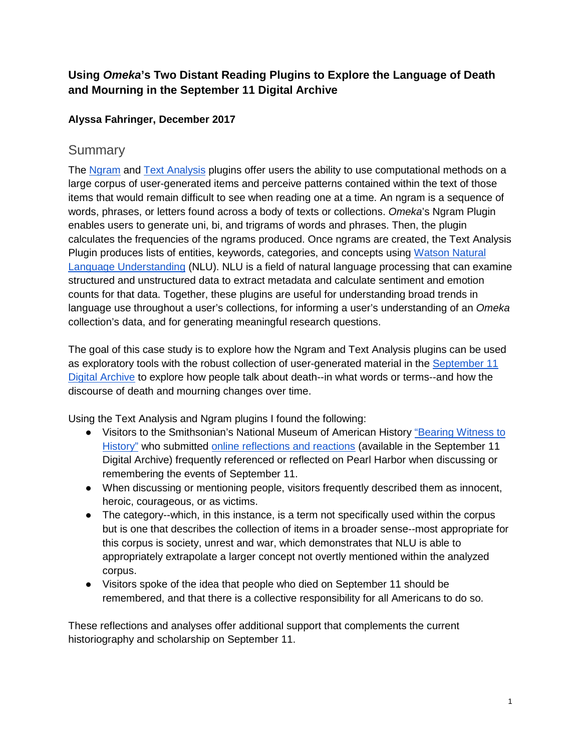# **Using** *Omeka***'s Two Distant Reading Plugins to Explore the Language of Death and Mourning in the September 11 Digital Archive**

## **Alyssa Fahringer, December 2017**

# **Summary**

The [Ngram](https://omeka.org/classic/plugins/Ngram/) and [Text Analysis](https://omeka.org/classic/plugins/TextAnalysis/) plugins offer users the ability to use computational methods on a large corpus of user-generated items and perceive patterns contained within the text of those items that would remain difficult to see when reading one at a time. An ngram is a sequence of words, phrases, or letters found across a body of texts or collections. *Omeka*'s Ngram Plugin enables users to generate uni, bi, and trigrams of words and phrases. Then, the plugin calculates the frequencies of the ngrams produced. Once ngrams are created, the Text Analysis Plugin produces lists of entities, keywords, categories, and concepts using [Watson Natural](https://www.ibm.com/watson/services/natural-language-understanding/)  [Language Understanding](https://www.ibm.com/watson/services/natural-language-understanding/) (NLU). NLU is a field of natural language processing that can examine structured and unstructured data to extract metadata and calculate sentiment and emotion counts for that data. Together, these plugins are useful for understanding broad trends in language use throughout a user's collections, for informing a user's understanding of an *Omeka* collection's data, and for generating meaningful research questions.

The goal of this case study is to explore how the Ngram and Text Analysis plugins can be used as exploratory tools with the robust collection of user-generated material in the [September 11](http://911digitalarchive.org/)  [Digital Archive](http://911digitalarchive.org/) to explore how people talk about death--in what words or terms--and how the discourse of death and mourning changes over time.

Using the Text Analysis and Ngram plugins I found the following:

- Visitors to the Smithsonian's National Museum of American History "Bearing Witness to [History"](https://amhistory.si.edu/september11/) who submitted [online reflections and reactions](http://911digitalarchive.org/collections/show/30) (available in the September 11 Digital Archive) frequently referenced or reflected on Pearl Harbor when discussing or remembering the events of September 11.
- When discussing or mentioning people, visitors frequently described them as innocent, heroic, courageous, or as victims.
- The category--which, in this instance, is a term not specifically used within the corpus but is one that describes the collection of items in a broader sense--most appropriate for this corpus is society, unrest and war, which demonstrates that NLU is able to appropriately extrapolate a larger concept not overtly mentioned within the analyzed corpus.
- Visitors spoke of the idea that people who died on September 11 should be remembered, and that there is a collective responsibility for all Americans to do so.

These reflections and analyses offer additional support that complements the current historiography and scholarship on September 11.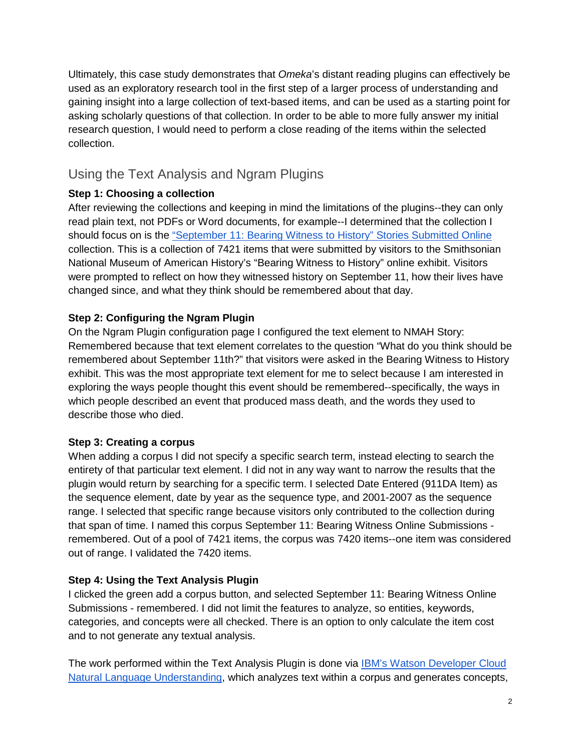Ultimately, this case study demonstrates that *Omeka*'s distant reading plugins can effectively be used as an exploratory research tool in the first step of a larger process of understanding and gaining insight into a large collection of text-based items, and can be used as a starting point for asking scholarly questions of that collection. In order to be able to more fully answer my initial research question, I would need to perform a close reading of the items within the selected collection.

# Using the Text Analysis and Ngram Plugins

# **Step 1: Choosing a collection**

After reviewing the collections and keeping in mind the limitations of the plugins--they can only read plain text, not PDFs or Word documents, for example--I determined that the collection I should focus on is the ["September 11: Bearing Witness to History" Stories Submitted Online](http://911digitalarchive.org/collections/show/30) collection. This is a collection of 7421 items that were submitted by visitors to the Smithsonian National Museum of American History's "Bearing Witness to History" online exhibit. Visitors were prompted to reflect on how they witnessed history on September 11, how their lives have changed since, and what they think should be remembered about that day.

# **Step 2: Configuring the Ngram Plugin**

On the Ngram Plugin configuration page I configured the text element to NMAH Story: Remembered because that text element correlates to the question "What do you think should be remembered about September 11th?" that visitors were asked in the Bearing Witness to History exhibit. This was the most appropriate text element for me to select because I am interested in exploring the ways people thought this event should be remembered--specifically, the ways in which people described an event that produced mass death, and the words they used to describe those who died.

### **Step 3: Creating a corpus**

When adding a corpus I did not specify a specific search term, instead electing to search the entirety of that particular text element. I did not in any way want to narrow the results that the plugin would return by searching for a specific term. I selected Date Entered (911DA Item) as the sequence element, date by year as the sequence type, and 2001-2007 as the sequence range. I selected that specific range because visitors only contributed to the collection during that span of time. I named this corpus September 11: Bearing Witness Online Submissions remembered. Out of a pool of 7421 items, the corpus was 7420 items--one item was considered out of range. I validated the 7420 items.

### **Step 4: Using the Text Analysis Plugin**

I clicked the green add a corpus button, and selected September 11: Bearing Witness Online Submissions - remembered. I did not limit the features to analyze, so entities, keywords, categories, and concepts were all checked. There is an option to only calculate the item cost and to not generate any textual analysis.

The work performed within the Text Analysis Plugin is done via IBM's Watson Developer Cloud [Natural Language Understanding,](https://www.ibm.com/watson/developercloud/natural-language-understanding.html) which analyzes text within a corpus and generates concepts,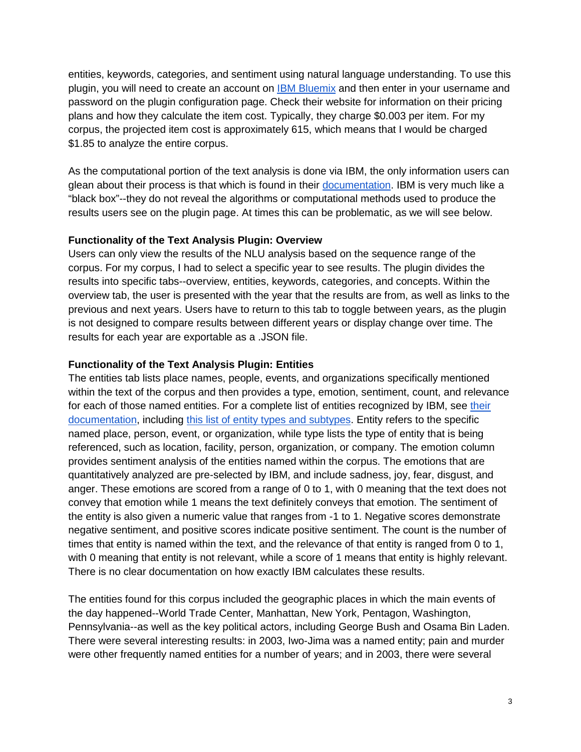entities, keywords, categories, and sentiment using natural language understanding. To use this plugin, you will need to create an account on **IBM Bluemix** and then enter in your username and password on the plugin configuration page. Check their website for information on their pricing plans and how they calculate the item cost. Typically, they charge \$0.003 per item. For my corpus, the projected item cost is approximately 615, which means that I would be charged \$1.85 to analyze the entire corpus.

As the computational portion of the text analysis is done via IBM, the only information users can glean about their process is that which is found in their [documentation.](https://console.bluemix.net/docs/services/natural-language-understanding/index.html#about) IBM is very much like a "black box"--they do not reveal the algorithms or computational methods used to produce the results users see on the plugin page. At times this can be problematic, as we will see below.

#### **Functionality of the Text Analysis Plugin: Overview**

Users can only view the results of the NLU analysis based on the sequence range of the corpus. For my corpus, I had to select a specific year to see results. The plugin divides the results into specific tabs--overview, entities, keywords, categories, and concepts. Within the overview tab, the user is presented with the year that the results are from, as well as links to the previous and next years. Users have to return to this tab to toggle between years, as the plugin is not designed to compare results between different years or display change over time. The results for each year are exportable as a .JSON file.

#### **Functionality of the Text Analysis Plugin: Entities**

The entities tab lists place names, people, events, and organizations specifically mentioned within the text of the corpus and then provides a type, emotion, sentiment, count, and relevance for each of those named entities. For a complete list of entities recognized by IBM, see [their](https://console.bluemix.net/docs/services/natural-language-understanding/index.html#about)  [documentation,](https://console.bluemix.net/docs/services/natural-language-understanding/index.html#about) including [this list of entity types and subtypes.](https://console.bluemix.net/docs/services/natural-language-understanding/entity-types.html) Entity refers to the specific named place, person, event, or organization, while type lists the type of entity that is being referenced, such as location, facility, person, organization, or company. The emotion column provides sentiment analysis of the entities named within the corpus. The emotions that are quantitatively analyzed are pre-selected by IBM, and include sadness, joy, fear, disgust, and anger. These emotions are scored from a range of 0 to 1, with 0 meaning that the text does not convey that emotion while 1 means the text definitely conveys that emotion. The sentiment of the entity is also given a numeric value that ranges from -1 to 1. Negative scores demonstrate negative sentiment, and positive scores indicate positive sentiment. The count is the number of times that entity is named within the text, and the relevance of that entity is ranged from 0 to 1, with 0 meaning that entity is not relevant, while a score of 1 means that entity is highly relevant. There is no clear documentation on how exactly IBM calculates these results.

The entities found for this corpus included the geographic places in which the main events of the day happened--World Trade Center, Manhattan, New York, Pentagon, Washington, Pennsylvania--as well as the key political actors, including George Bush and Osama Bin Laden. There were several interesting results: in 2003, Iwo-Jima was a named entity; pain and murder were other frequently named entities for a number of years; and in 2003, there were several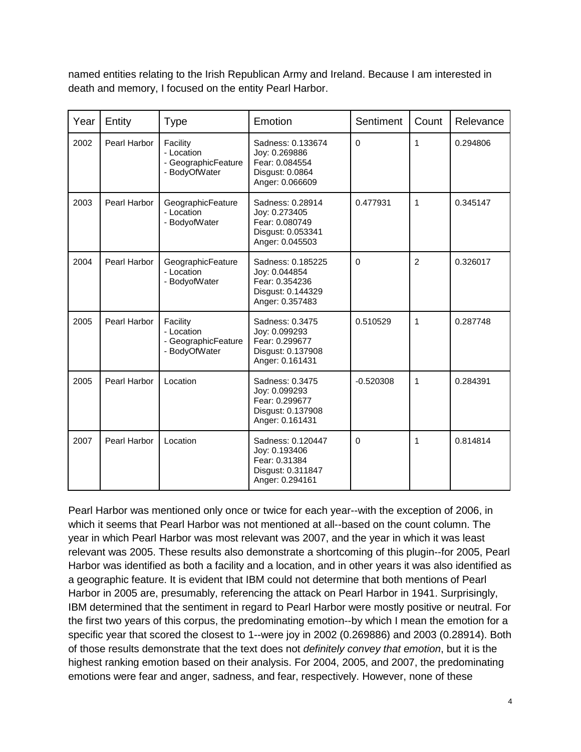named entities relating to the Irish Republican Army and Ireland. Because I am interested in death and memory, I focused on the entity Pearl Harbor.

| Year | Entity       | <b>Type</b>                                                    | Emotion                                                                                      | Sentiment   | Count          | Relevance |
|------|--------------|----------------------------------------------------------------|----------------------------------------------------------------------------------------------|-------------|----------------|-----------|
| 2002 | Pearl Harbor | Facility<br>- Location<br>- GeographicFeature<br>- BodyOfWater | Sadness: 0.133674<br>Joy: 0.269886<br>Fear: 0.084554<br>Disgust: 0.0864<br>Anger: 0.066609   | $\mathbf 0$ | 1              | 0.294806  |
| 2003 | Pearl Harbor | GeographicFeature<br>- Location<br>- BodyofWater               | Sadness: 0.28914<br>Joy: 0.273405<br>Fear: 0.080749<br>Disgust: 0.053341<br>Anger: 0.045503  | 0.477931    | 1              | 0.345147  |
| 2004 | Pearl Harbor | GeographicFeature<br>- Location<br>- BodyofWater               | Sadness: 0.185225<br>Joy: 0.044854<br>Fear: 0.354236<br>Disgust: 0.144329<br>Anger: 0.357483 | $\mathbf 0$ | $\overline{2}$ | 0.326017  |
| 2005 | Pearl Harbor | Facility<br>- Location<br>- GeographicFeature<br>- BodyOfWater | Sadness: 0.3475<br>Joy: 0.099293<br>Fear: 0.299677<br>Disgust: 0.137908<br>Anger: 0.161431   | 0.510529    | 1              | 0.287748  |
| 2005 | Pearl Harbor | Location                                                       | Sadness: 0.3475<br>Joy: 0.099293<br>Fear: 0.299677<br>Disgust: 0.137908<br>Anger: 0.161431   | $-0.520308$ | 1              | 0.284391  |
| 2007 | Pearl Harbor | Location                                                       | Sadness: 0.120447<br>Joy: 0.193406<br>Fear: 0.31384<br>Disgust: 0.311847<br>Anger: 0.294161  | $\Omega$    | 1              | 0.814814  |

Pearl Harbor was mentioned only once or twice for each year--with the exception of 2006, in which it seems that Pearl Harbor was not mentioned at all--based on the count column. The year in which Pearl Harbor was most relevant was 2007, and the year in which it was least relevant was 2005. These results also demonstrate a shortcoming of this plugin--for 2005, Pearl Harbor was identified as both a facility and a location, and in other years it was also identified as a geographic feature. It is evident that IBM could not determine that both mentions of Pearl Harbor in 2005 are, presumably, referencing the attack on Pearl Harbor in 1941. Surprisingly, IBM determined that the sentiment in regard to Pearl Harbor were mostly positive or neutral. For the first two years of this corpus, the predominating emotion--by which I mean the emotion for a specific year that scored the closest to 1--were joy in 2002 (0.269886) and 2003 (0.28914). Both of those results demonstrate that the text does not *definitely convey that emotion*, but it is the highest ranking emotion based on their analysis. For 2004, 2005, and 2007, the predominating emotions were fear and anger, sadness, and fear, respectively. However, none of these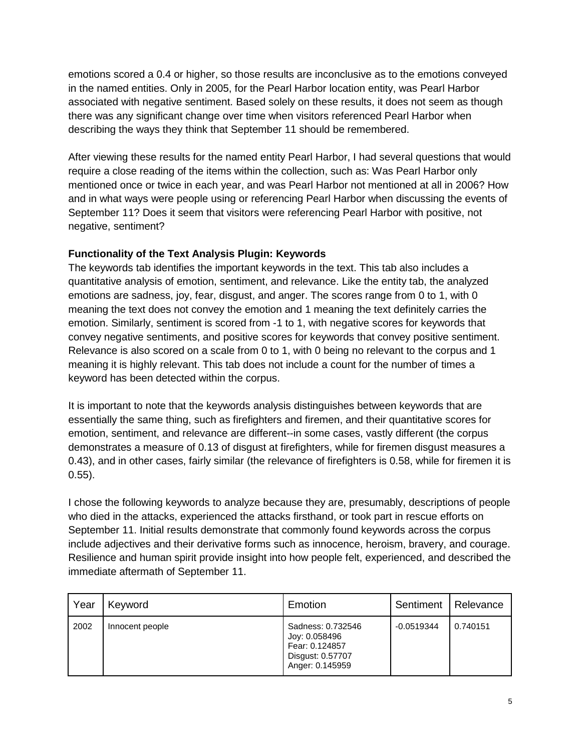emotions scored a 0.4 or higher, so those results are inconclusive as to the emotions conveyed in the named entities. Only in 2005, for the Pearl Harbor location entity, was Pearl Harbor associated with negative sentiment. Based solely on these results, it does not seem as though there was any significant change over time when visitors referenced Pearl Harbor when describing the ways they think that September 11 should be remembered.

After viewing these results for the named entity Pearl Harbor, I had several questions that would require a close reading of the items within the collection, such as: Was Pearl Harbor only mentioned once or twice in each year, and was Pearl Harbor not mentioned at all in 2006? How and in what ways were people using or referencing Pearl Harbor when discussing the events of September 11? Does it seem that visitors were referencing Pearl Harbor with positive, not negative, sentiment?

### **Functionality of the Text Analysis Plugin: Keywords**

The keywords tab identifies the important keywords in the text. This tab also includes a quantitative analysis of emotion, sentiment, and relevance. Like the entity tab, the analyzed emotions are sadness, joy, fear, disgust, and anger. The scores range from 0 to 1, with 0 meaning the text does not convey the emotion and 1 meaning the text definitely carries the emotion. Similarly, sentiment is scored from -1 to 1, with negative scores for keywords that convey negative sentiments, and positive scores for keywords that convey positive sentiment. Relevance is also scored on a scale from 0 to 1, with 0 being no relevant to the corpus and 1 meaning it is highly relevant. This tab does not include a count for the number of times a keyword has been detected within the corpus.

It is important to note that the keywords analysis distinguishes between keywords that are essentially the same thing, such as firefighters and firemen, and their quantitative scores for emotion, sentiment, and relevance are different--in some cases, vastly different (the corpus demonstrates a measure of 0.13 of disgust at firefighters, while for firemen disgust measures a 0.43), and in other cases, fairly similar (the relevance of firefighters is 0.58, while for firemen it is 0.55).

I chose the following keywords to analyze because they are, presumably, descriptions of people who died in the attacks, experienced the attacks firsthand, or took part in rescue efforts on September 11. Initial results demonstrate that commonly found keywords across the corpus include adjectives and their derivative forms such as innocence, heroism, bravery, and courage. Resilience and human spirit provide insight into how people felt, experienced, and described the immediate aftermath of September 11.

| Year | Keyword         | Emotion                                                                                     | Sentiment    | Relevance |
|------|-----------------|---------------------------------------------------------------------------------------------|--------------|-----------|
| 2002 | Innocent people | Sadness: 0.732546<br>Joy: 0.058496<br>Fear: 0.124857<br>Disgust: 0.57707<br>Anger: 0.145959 | $-0.0519344$ | 0.740151  |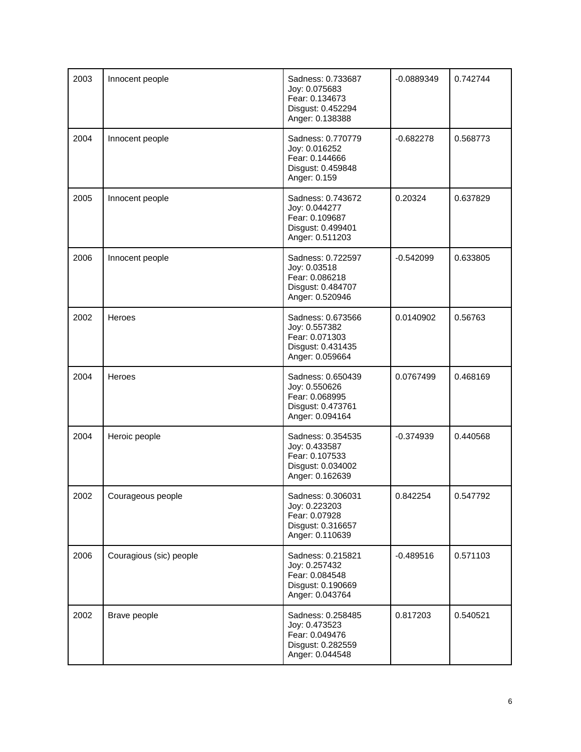| 2003 | Innocent people         | Sadness: 0.733687<br>Joy: 0.075683<br>Fear: 0.134673<br>Disgust: 0.452294<br>Anger: 0.138388 | $-0.0889349$ | 0.742744 |
|------|-------------------------|----------------------------------------------------------------------------------------------|--------------|----------|
| 2004 | Innocent people         | Sadness: 0.770779<br>Joy: 0.016252<br>Fear: 0.144666<br>Disgust: 0.459848<br>Anger: 0.159    | $-0.682278$  | 0.568773 |
| 2005 | Innocent people         | Sadness: 0.743672<br>Joy: 0.044277<br>Fear: 0.109687<br>Disgust: 0.499401<br>Anger: 0.511203 | 0.20324      | 0.637829 |
| 2006 | Innocent people         | Sadness: 0.722597<br>Joy: 0.03518<br>Fear: 0.086218<br>Disgust: 0.484707<br>Anger: 0.520946  | $-0.542099$  | 0.633805 |
| 2002 | Heroes                  | Sadness: 0.673566<br>Joy: 0.557382<br>Fear: 0.071303<br>Disgust: 0.431435<br>Anger: 0.059664 | 0.0140902    | 0.56763  |
| 2004 | Heroes                  | Sadness: 0.650439<br>Joy: 0.550626<br>Fear: 0.068995<br>Disgust: 0.473761<br>Anger: 0.094164 | 0.0767499    | 0.468169 |
| 2004 | Heroic people           | Sadness: 0.354535<br>Joy: 0.433587<br>Fear: 0.107533<br>Disgust: 0.034002<br>Anger: 0.162639 | $-0.374939$  | 0.440568 |
| 2002 | Courageous people       | Sadness: 0.306031<br>Joy: 0.223203<br>Fear: 0.07928<br>Disgust: 0.316657<br>Anger: 0.110639  | 0.842254     | 0.547792 |
| 2006 | Couragious (sic) people | Sadness: 0.215821<br>Joy: 0.257432<br>Fear: 0.084548<br>Disgust: 0.190669<br>Anger: 0.043764 | $-0.489516$  | 0.571103 |
| 2002 | Brave people            | Sadness: 0.258485<br>Joy: 0.473523<br>Fear: 0.049476<br>Disgust: 0.282559<br>Anger: 0.044548 | 0.817203     | 0.540521 |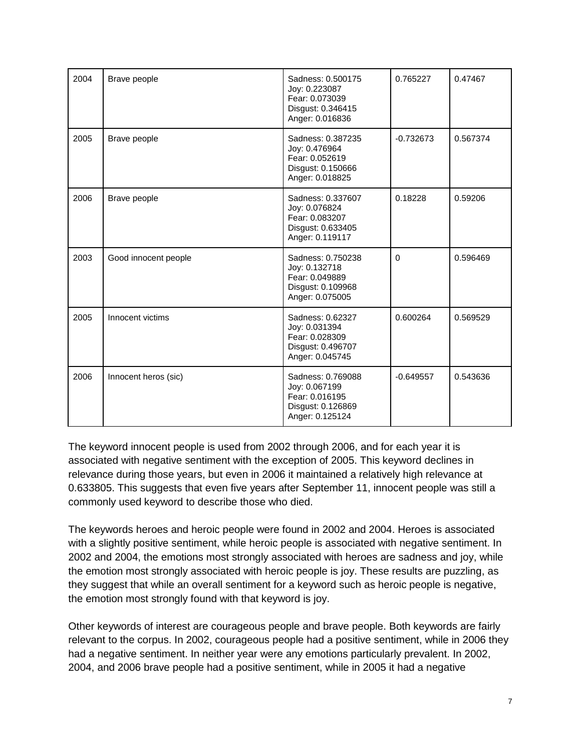| 2004 | Brave people         | Sadness: 0.500175<br>Joy: 0.223087<br>Fear: 0.073039<br>Disgust: 0.346415<br>Anger: 0.016836 | 0.765227    | 0.47467  |
|------|----------------------|----------------------------------------------------------------------------------------------|-------------|----------|
| 2005 | Brave people         | Sadness: 0.387235<br>Joy: 0.476964<br>Fear: 0.052619<br>Disgust: 0.150666<br>Anger: 0.018825 | $-0.732673$ | 0.567374 |
| 2006 | Brave people         | Sadness: 0.337607<br>Joy: 0.076824<br>Fear: 0.083207<br>Disgust: 0.633405<br>Anger: 0.119117 | 0.18228     | 0.59206  |
| 2003 | Good innocent people | Sadness: 0.750238<br>Joy: 0.132718<br>Fear: 0.049889<br>Disgust: 0.109968<br>Anger: 0.075005 | $\Omega$    | 0.596469 |
| 2005 | Innocent victims     | Sadness: 0.62327<br>Joy: 0.031394<br>Fear: 0.028309<br>Disgust: 0.496707<br>Anger: 0.045745  | 0.600264    | 0.569529 |
| 2006 | Innocent heros (sic) | Sadness: 0.769088<br>Joy: 0.067199<br>Fear: 0.016195<br>Disgust: 0.126869<br>Anger: 0.125124 | $-0.649557$ | 0.543636 |

The keyword innocent people is used from 2002 through 2006, and for each year it is associated with negative sentiment with the exception of 2005. This keyword declines in relevance during those years, but even in 2006 it maintained a relatively high relevance at 0.633805. This suggests that even five years after September 11, innocent people was still a commonly used keyword to describe those who died.

The keywords heroes and heroic people were found in 2002 and 2004. Heroes is associated with a slightly positive sentiment, while heroic people is associated with negative sentiment. In 2002 and 2004, the emotions most strongly associated with heroes are sadness and joy, while the emotion most strongly associated with heroic people is joy. These results are puzzling, as they suggest that while an overall sentiment for a keyword such as heroic people is negative, the emotion most strongly found with that keyword is joy.

Other keywords of interest are courageous people and brave people. Both keywords are fairly relevant to the corpus. In 2002, courageous people had a positive sentiment, while in 2006 they had a negative sentiment. In neither year were any emotions particularly prevalent. In 2002, 2004, and 2006 brave people had a positive sentiment, while in 2005 it had a negative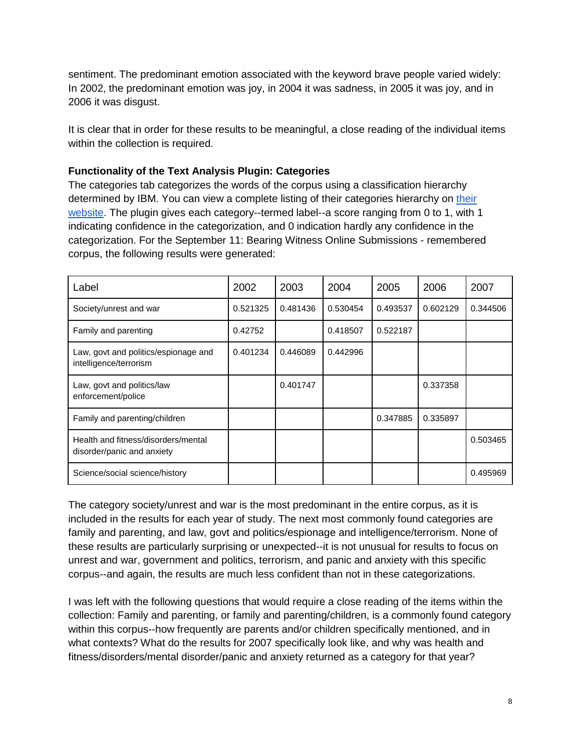sentiment. The predominant emotion associated with the keyword brave people varied widely: In 2002, the predominant emotion was joy, in 2004 it was sadness, in 2005 it was joy, and in 2006 it was disgust.

It is clear that in order for these results to be meaningful, a close reading of the individual items within the collection is required.

### **Functionality of the Text Analysis Plugin: Categories**

The categories tab categorizes the words of the corpus using a classification hierarchy determined by IBM. You can view a complete listing of [their](https://console.bluemix.net/docs/services/natural-language-understanding/categories.html#categories-hierarchy) categories hierarchy on their [website.](https://console.bluemix.net/docs/services/natural-language-understanding/categories.html#categories-hierarchy) The plugin gives each category--termed label--a score ranging from 0 to 1, with 1 indicating confidence in the categorization, and 0 indication hardly any confidence in the categorization. For the September 11: Bearing Witness Online Submissions - remembered corpus, the following results were generated:

| Label                                                             | 2002     | 2003     | 2004     | 2005     | 2006     | 2007     |
|-------------------------------------------------------------------|----------|----------|----------|----------|----------|----------|
| Society/unrest and war                                            | 0.521325 | 0.481436 | 0.530454 | 0.493537 | 0.602129 | 0.344506 |
| Family and parenting                                              | 0.42752  |          | 0.418507 | 0.522187 |          |          |
| Law, govt and politics/espionage and<br>intelligence/terrorism    | 0.401234 | 0.446089 | 0.442996 |          |          |          |
| Law, govt and politics/law<br>enforcement/police                  |          | 0.401747 |          |          | 0.337358 |          |
| Family and parenting/children                                     |          |          |          | 0.347885 | 0.335897 |          |
| Health and fitness/disorders/mental<br>disorder/panic and anxiety |          |          |          |          |          | 0.503465 |
| Science/social science/history                                    |          |          |          |          |          | 0.495969 |

The category society/unrest and war is the most predominant in the entire corpus, as it is included in the results for each year of study. The next most commonly found categories are family and parenting, and law, govt and politics/espionage and intelligence/terrorism. None of these results are particularly surprising or unexpected--it is not unusual for results to focus on unrest and war, government and politics, terrorism, and panic and anxiety with this specific corpus--and again, the results are much less confident than not in these categorizations.

I was left with the following questions that would require a close reading of the items within the collection: Family and parenting, or family and parenting/children, is a commonly found category within this corpus--how frequently are parents and/or children specifically mentioned, and in what contexts? What do the results for 2007 specifically look like, and why was health and fitness/disorders/mental disorder/panic and anxiety returned as a category for that year?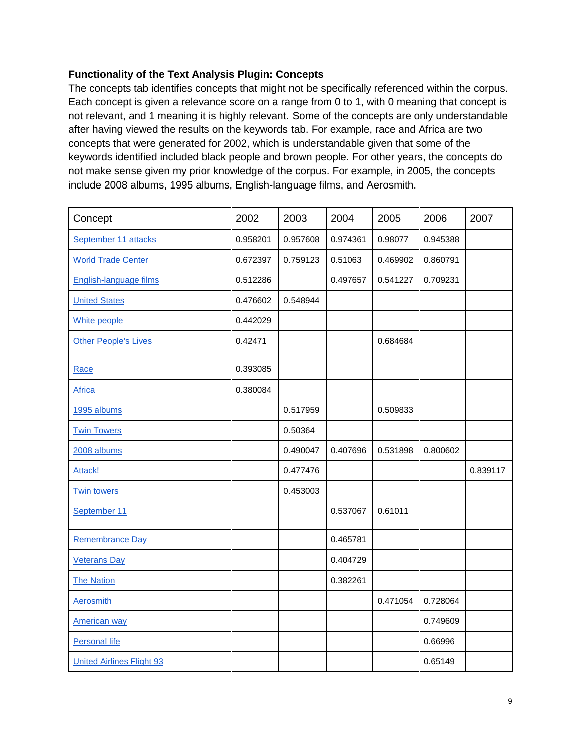### **Functionality of the Text Analysis Plugin: Concepts**

The concepts tab identifies concepts that might not be specifically referenced within the corpus. Each concept is given a relevance score on a range from 0 to 1, with 0 meaning that concept is not relevant, and 1 meaning it is highly relevant. Some of the concepts are only understandable after having viewed the results on the keywords tab. For example, race and Africa are two concepts that were generated for 2002, which is understandable given that some of the keywords identified included black people and brown people. For other years, the concepts do not make sense given my prior knowledge of the corpus. For example, in 2005, the concepts include 2008 albums, 1995 albums, English-language films, and Aerosmith.

| Concept                          | 2002     | 2003     | 2004     | 2005     | 2006     | 2007     |
|----------------------------------|----------|----------|----------|----------|----------|----------|
| September 11 attacks             | 0.958201 | 0.957608 | 0.974361 | 0.98077  | 0.945388 |          |
| <b>World Trade Center</b>        | 0.672397 | 0.759123 | 0.51063  | 0.469902 | 0.860791 |          |
| English-language films           | 0.512286 |          | 0.497657 | 0.541227 | 0.709231 |          |
| <b>United States</b>             | 0.476602 | 0.548944 |          |          |          |          |
| White people                     | 0.442029 |          |          |          |          |          |
| <b>Other People's Lives</b>      | 0.42471  |          |          | 0.684684 |          |          |
| Race                             | 0.393085 |          |          |          |          |          |
| <b>Africa</b>                    | 0.380084 |          |          |          |          |          |
| 1995 albums                      |          | 0.517959 |          | 0.509833 |          |          |
| <b>Twin Towers</b>               |          | 0.50364  |          |          |          |          |
| 2008 albums                      |          | 0.490047 | 0.407696 | 0.531898 | 0.800602 |          |
| Attack!                          |          | 0.477476 |          |          |          | 0.839117 |
| <b>Twin towers</b>               |          | 0.453003 |          |          |          |          |
| September 11                     |          |          | 0.537067 | 0.61011  |          |          |
| <b>Remembrance Day</b>           |          |          | 0.465781 |          |          |          |
| <b>Veterans Day</b>              |          |          | 0.404729 |          |          |          |
| <b>The Nation</b>                |          |          | 0.382261 |          |          |          |
| Aerosmith                        |          |          |          | 0.471054 | 0.728064 |          |
| <b>American way</b>              |          |          |          |          | 0.749609 |          |
| <b>Personal life</b>             |          |          |          |          | 0.66996  |          |
| <b>United Airlines Flight 93</b> |          |          |          |          | 0.65149  |          |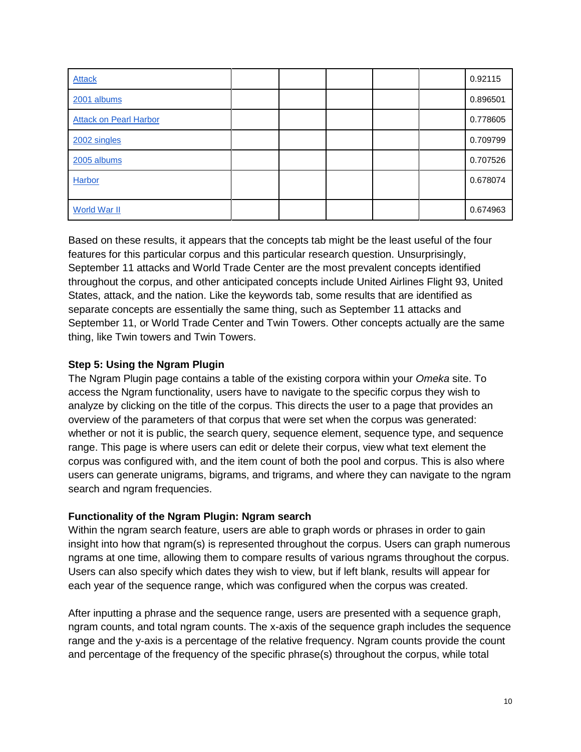| <b>Attack</b>                 |  |  | 0.92115  |
|-------------------------------|--|--|----------|
| 2001 albums                   |  |  | 0.896501 |
| <b>Attack on Pearl Harbor</b> |  |  | 0.778605 |
| 2002 singles                  |  |  | 0.709799 |
| 2005 albums                   |  |  | 0.707526 |
| Harbor                        |  |  | 0.678074 |
| World War II                  |  |  | 0.674963 |

Based on these results, it appears that the concepts tab might be the least useful of the four features for this particular corpus and this particular research question. Unsurprisingly, September 11 attacks and World Trade Center are the most prevalent concepts identified throughout the corpus, and other anticipated concepts include United Airlines Flight 93, United States, attack, and the nation. Like the keywords tab, some results that are identified as separate concepts are essentially the same thing, such as September 11 attacks and September 11, or World Trade Center and Twin Towers. Other concepts actually are the same thing, like Twin towers and Twin Towers.

### **Step 5: Using the Ngram Plugin**

The Ngram Plugin page contains a table of the existing corpora within your *Omeka* site. To access the Ngram functionality, users have to navigate to the specific corpus they wish to analyze by clicking on the title of the corpus. This directs the user to a page that provides an overview of the parameters of that corpus that were set when the corpus was generated: whether or not it is public, the search query, sequence element, sequence type, and sequence range. This page is where users can edit or delete their corpus, view what text element the corpus was configured with, and the item count of both the pool and corpus. This is also where users can generate unigrams, bigrams, and trigrams, and where they can navigate to the ngram search and ngram frequencies.

#### **Functionality of the Ngram Plugin: Ngram search**

Within the ngram search feature, users are able to graph words or phrases in order to gain insight into how that ngram(s) is represented throughout the corpus. Users can graph numerous ngrams at one time, allowing them to compare results of various ngrams throughout the corpus. Users can also specify which dates they wish to view, but if left blank, results will appear for each year of the sequence range, which was configured when the corpus was created.

After inputting a phrase and the sequence range, users are presented with a sequence graph, ngram counts, and total ngram counts. The x-axis of the sequence graph includes the sequence range and the y-axis is a percentage of the relative frequency. Ngram counts provide the count and percentage of the frequency of the specific phrase(s) throughout the corpus, while total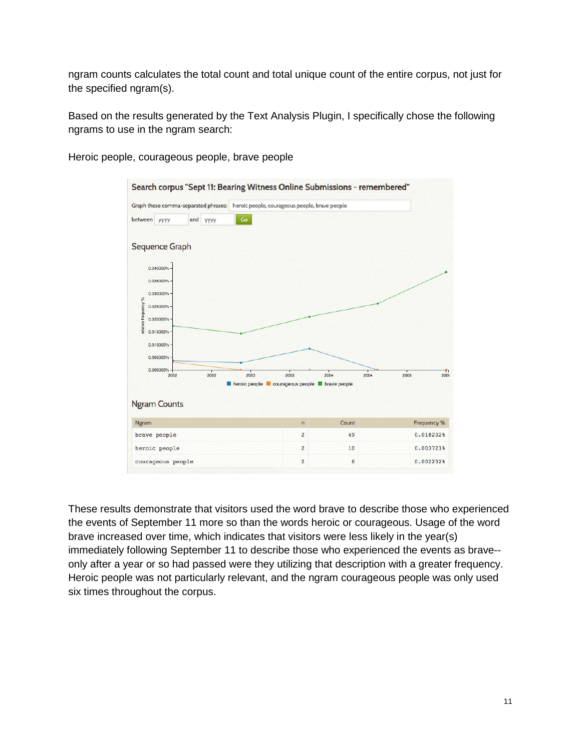ngram counts calculates the total count and total unique count of the entire corpus, not just for the specified ngram(s).

Based on the results generated by the Text Analysis Plugin, I specifically chose the following ngrams to use in the ngram search:

Heroic people, courageous people, brave people



These results demonstrate that visitors used the word brave to describe those who experienced the events of September 11 more so than the words heroic or courageous. Usage of the word brave increased over time, which indicates that visitors were less likely in the year(s) immediately following September 11 to describe those who experienced the events as brave- only after a year or so had passed were they utilizing that description with a greater frequency. Heroic people was not particularly relevant, and the ngram courageous people was only used six times throughout the corpus.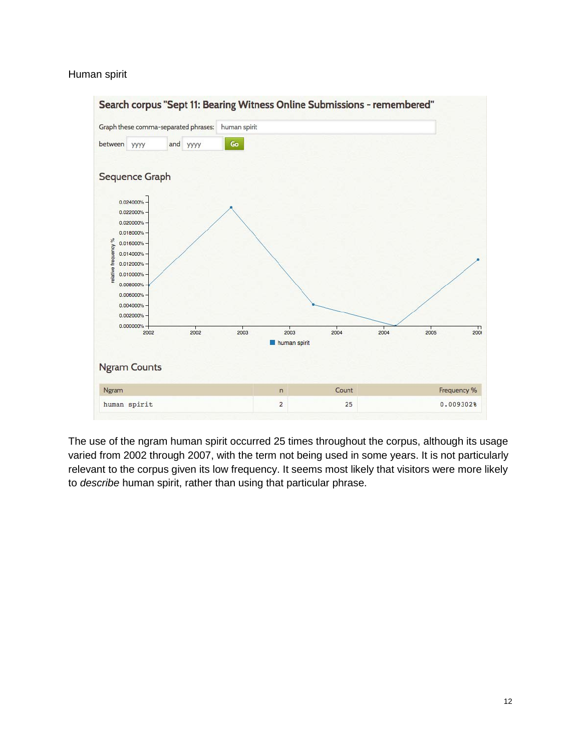#### Human spirit



The use of the ngram human spirit occurred 25 times throughout the corpus, although its usage varied from 2002 through 2007, with the term not being used in some years. It is not particularly relevant to the corpus given its low frequency. It seems most likely that visitors were more likely to *describe* human spirit, rather than using that particular phrase.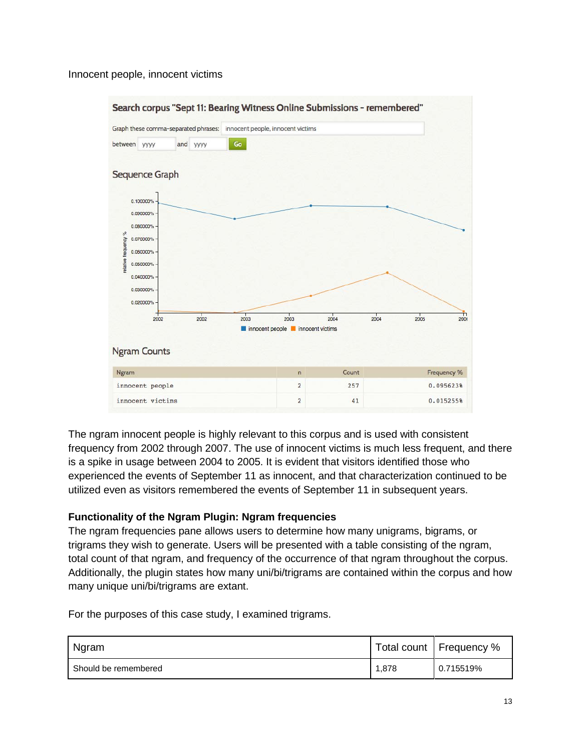#### Innocent people, innocent victims



The ngram innocent people is highly relevant to this corpus and is used with consistent frequency from 2002 through 2007. The use of innocent victims is much less frequent, and there is a spike in usage between 2004 to 2005. It is evident that visitors identified those who experienced the events of September 11 as innocent, and that characterization continued to be utilized even as visitors remembered the events of September 11 in subsequent years.

#### **Functionality of the Ngram Plugin: Ngram frequencies**

The ngram frequencies pane allows users to determine how many unigrams, bigrams, or trigrams they wish to generate. Users will be presented with a table consisting of the ngram, total count of that ngram, and frequency of the occurrence of that ngram throughout the corpus. Additionally, the plugin states how many uni/bi/trigrams are contained within the corpus and how many unique uni/bi/trigrams are extant.

For the purposes of this case study, I examined trigrams.

| Ngram                |       | Total count   Frequency % |
|----------------------|-------|---------------------------|
| Should be remembered | 1,878 | 0.715519%                 |